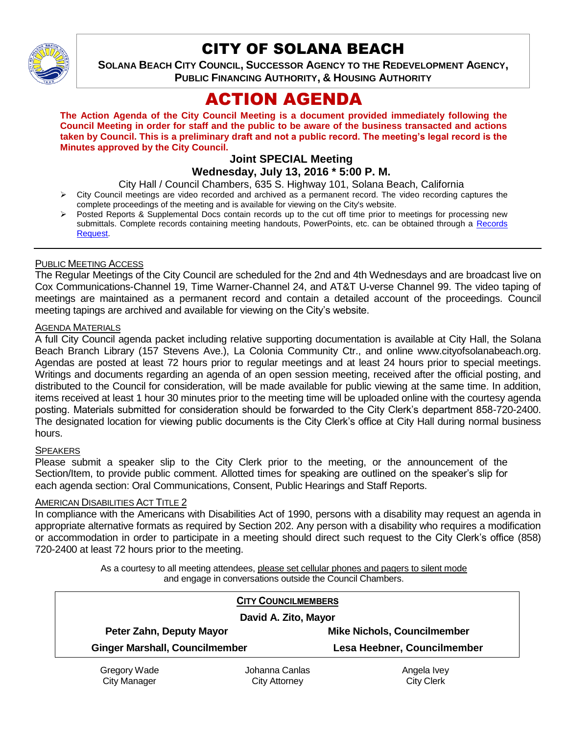

# CITY OF SOLANA BEACH

**SOLANA BEACH CITY COUNCIL, SUCCESSOR AGENCY TO THE REDEVELOPMENT AGENCY, PUBLIC FINANCING AUTHORITY, & HOUSING AUTHORITY** 

# ACTION AGENDA

**The Action Agenda of the City Council Meeting is a document provided immediately following the Council Meeting in order for staff and the public to be aware of the business transacted and actions taken by Council. This is a preliminary draft and not a public record. The meeting's legal record is the Minutes approved by the City Council.**

# **Joint SPECIAL Meeting**

## **Wednesday, July 13, 2016 \* 5:00 P. M.**

City Hall / Council Chambers, 635 S. Highway 101, Solana Beach, California

- City Council meetings are video recorded and archived as a permanent record. The video recording captures the complete proceedings of the meeting and is available for viewing on the City's website.
- Posted Reports & Supplemental Docs contain records up to the cut off time prior to meetings for processing new submittals. Complete records containing meeting handouts, PowerPoints, etc. can be obtained through a Records [Request.](http://www.ci.solana-beach.ca.us/index.asp?SEC=F5D45D10-70CE-4291-A27C-7BD633FC6742&Type=B_BASIC)

## PUBLIC MEETING ACCESS

The Regular Meetings of the City Council are scheduled for the 2nd and 4th Wednesdays and are broadcast live on Cox Communications-Channel 19, Time Warner-Channel 24, and AT&T U-verse Channel 99. The video taping of meetings are maintained as a permanent record and contain a detailed account of the proceedings. Council meeting tapings are archived and available for viewing on the City's website.

### **AGENDA MATERIALS**

A full City Council agenda packet including relative supporting documentation is available at City Hall, the Solana Beach Branch Library (157 Stevens Ave.), La Colonia Community Ctr., and online www.cityofsolanabeach.org. Agendas are posted at least 72 hours prior to regular meetings and at least 24 hours prior to special meetings. Writings and documents regarding an agenda of an open session meeting, received after the official posting, and distributed to the Council for consideration, will be made available for public viewing at the same time. In addition, items received at least 1 hour 30 minutes prior to the meeting time will be uploaded online with the courtesy agenda posting. Materials submitted for consideration should be forwarded to the City Clerk's department 858-720-2400. The designated location for viewing public documents is the City Clerk's office at City Hall during normal business hours.

#### **SPEAKERS**

Please submit a speaker slip to the City Clerk prior to the meeting, or the announcement of the Section/Item, to provide public comment. Allotted times for speaking are outlined on the speaker's slip for each agenda section: Oral Communications, Consent, Public Hearings and Staff Reports.

#### AMERICAN DISABILITIES ACT TITLE 2

In compliance with the Americans with Disabilities Act of 1990, persons with a disability may request an agenda in appropriate alternative formats as required by Section 202. Any person with a disability who requires a modification or accommodation in order to participate in a meeting should direct such request to the City Clerk's office (858) 720-2400 at least 72 hours prior to the meeting.

> As a courtesy to all meeting attendees, please set cellular phones and pagers to silent mode and engage in conversations outside the Council Chambers.

| <b>CITY COUNCILMEMBERS</b>            |                |                                    |
|---------------------------------------|----------------|------------------------------------|
| David A. Zito, Mayor                  |                |                                    |
| Peter Zahn, Deputy Mayor              |                | <b>Mike Nichols, Councilmember</b> |
| <b>Ginger Marshall, Councilmember</b> |                | Lesa Heebner, Councilmember        |
| Gregory Wade                          | Johanna Canlas | Angela Ivey                        |

City Manager

City Attorney

City Clerk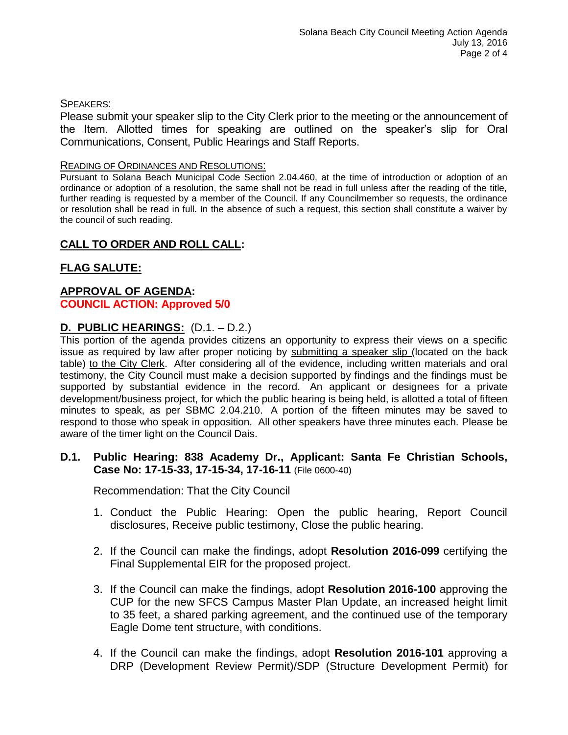## SPEAKERS:

Please submit your speaker slip to the City Clerk prior to the meeting or the announcement of the Item. Allotted times for speaking are outlined on the speaker's slip for Oral Communications, Consent, Public Hearings and Staff Reports.

#### READING OF ORDINANCES AND RESOLUTIONS:

Pursuant to Solana Beach Municipal Code Section 2.04.460, at the time of introduction or adoption of an ordinance or adoption of a resolution, the same shall not be read in full unless after the reading of the title, further reading is requested by a member of the Council. If any Councilmember so requests, the ordinance or resolution shall be read in full. In the absence of such a request, this section shall constitute a waiver by the council of such reading.

# **CALL TO ORDER AND ROLL CALL:**

# **FLAG SALUTE:**

## **APPROVAL OF AGENDA: COUNCIL ACTION: Approved 5/0**

## **D. PUBLIC HEARINGS:** (D.1. – D.2.)

This portion of the agenda provides citizens an opportunity to express their views on a specific issue as required by law after proper noticing by submitting a speaker slip (located on the back table) to the City Clerk. After considering all of the evidence, including written materials and oral testimony, the City Council must make a decision supported by findings and the findings must be supported by substantial evidence in the record. An applicant or designees for a private development/business project, for which the public hearing is being held, is allotted a total of fifteen minutes to speak, as per SBMC 2.04.210. A portion of the fifteen minutes may be saved to respond to those who speak in opposition. All other speakers have three minutes each. Please be aware of the timer light on the Council Dais.

#### **D.1. Public Hearing: 838 Academy Dr., Applicant: Santa Fe Christian Schools, Case No: 17-15-33, 17-15-34, 17-16-11** (File 0600-40)

Recommendation: That the City Council

- 1. Conduct the Public Hearing: Open the public hearing, Report Council disclosures, Receive public testimony, Close the public hearing.
- 2. If the Council can make the findings, adopt **Resolution 2016-099** certifying the Final Supplemental EIR for the proposed project.
- 3. If the Council can make the findings, adopt **Resolution 2016-100** approving the CUP for the new SFCS Campus Master Plan Update, an increased height limit to 35 feet, a shared parking agreement, and the continued use of the temporary Eagle Dome tent structure, with conditions.
- 4. If the Council can make the findings, adopt **Resolution 2016-101** approving a DRP (Development Review Permit)/SDP (Structure Development Permit) for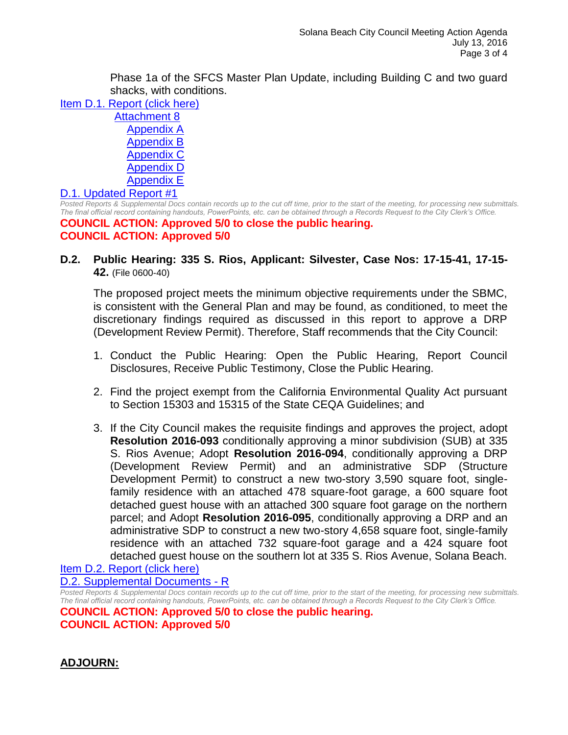Phase 1a of the SFCS Master Plan Update, including Building C and two guard shacks, with conditions.

- [Item D.1. Report \(click here\)](https://solanabeach.govoffice3.com/vertical/Sites/%7B840804C2-F869-4904-9AE3-720581350CE7%7D/uploads/Item_D.1._Report_(click_here)_07-13-16.PDF)
	- [Attachment 8](https://solanabeach.govoffice3.com/vertical/Sites/%7B840804C2-F869-4904-9AE3-720581350CE7%7D/uploads/Attachment_8_-_EIR.pdf) [Appendix A](https://solanabeach.govoffice3.com/vertical/Sites/%7B840804C2-F869-4904-9AE3-720581350CE7%7D/uploads/Appendix_A_-_NOP.pdf) [Appendix B](https://solanabeach.govoffice3.com/vertical/Sites/%7B840804C2-F869-4904-9AE3-720581350CE7%7D/uploads/Appendix_B_-_Traffic_Impact_Statement_Updated.pdf) [Appendix C](https://solanabeach.govoffice3.com/vertical/Sites/%7B840804C2-F869-4904-9AE3-720581350CE7%7D/uploads/Appendix_C_-_Noise_Modeling_Data.pdf) [Appendix D](https://solanabeach.govoffice3.com/vertical/Sites/%7B840804C2-F869-4904-9AE3-720581350CE7%7D/uploads/Appendix_D_-_Air_Quality_Letter_Report.pdf) [Appendix E](https://solanabeach.govoffice3.com/vertical/Sites/%7B840804C2-F869-4904-9AE3-720581350CE7%7D/uploads/Appendix_E_-_Biological_Resources_Report.pdf)

#### [D.1. Updated Report #1](https://solanabeach.govoffice3.com/vertical/Sites/%7B840804C2-F869-4904-9AE3-720581350CE7%7D/uploads/D.1._Updated_Report_1_7-13-16.pdf)

*Posted Reports & Supplemental Docs contain records up to the cut off time, prior to the start of the meeting, for processing new submittals. The final official record containing handouts, PowerPoints, etc. can be obtained through a Records Request to the City Clerk's Office.* **COUNCIL ACTION: Approved 5/0 to close the public hearing. COUNCIL ACTION: Approved 5/0**

**D.2. Public Hearing: 335 S. Rios, Applicant: Silvester, Case Nos: 17-15-41, 17-15- 42.** (File 0600-40)

The proposed project meets the minimum objective requirements under the SBMC, is consistent with the General Plan and may be found, as conditioned, to meet the discretionary findings required as discussed in this report to approve a DRP (Development Review Permit). Therefore, Staff recommends that the City Council:

- 1. Conduct the Public Hearing: Open the Public Hearing, Report Council Disclosures, Receive Public Testimony, Close the Public Hearing.
- 2. Find the project exempt from the California Environmental Quality Act pursuant to Section 15303 and 15315 of the State CEQA Guidelines; and
- 3. If the City Council makes the requisite findings and approves the project, adopt **Resolution 2016-093** conditionally approving a minor subdivision (SUB) at 335 S. Rios Avenue; Adopt **Resolution 2016-094**, conditionally approving a DRP (Development Review Permit) and an administrative SDP (Structure Development Permit) to construct a new two-story 3,590 square foot, singlefamily residence with an attached 478 square-foot garage, a 600 square foot detached guest house with an attached 300 square foot garage on the northern parcel; and Adopt **Resolution 2016-095**, conditionally approving a DRP and an administrative SDP to construct a new two-story 4,658 square foot, single-family residence with an attached 732 square-foot garage and a 424 square foot detached guest house on the southern lot at 335 S. Rios Avenue, Solana Beach.

[Item D.2. Report \(click here\)](https://solanabeach.govoffice3.com/vertical/Sites/%7B840804C2-F869-4904-9AE3-720581350CE7%7D/uploads/Item_D.2._Report_(click_here)_07-13-16.PDF)

[D.2. Supplemental Documents -](https://solanabeach.govoffice3.com/vertical/Sites/%7B840804C2-F869-4904-9AE3-720581350CE7%7D/uploads/D.2._Supplemental_Documents_-_R.pdf) R

*Posted Reports & Supplemental Docs contain records up to the cut off time, prior to the start of the meeting, for processing new submittals. The final official record containing handouts, PowerPoints, etc. can be obtained through a Records Request to the City Clerk's Office.* **COUNCIL ACTION: Approved 5/0 to close the public hearing. COUNCIL ACTION: Approved 5/0**

**ADJOURN:**